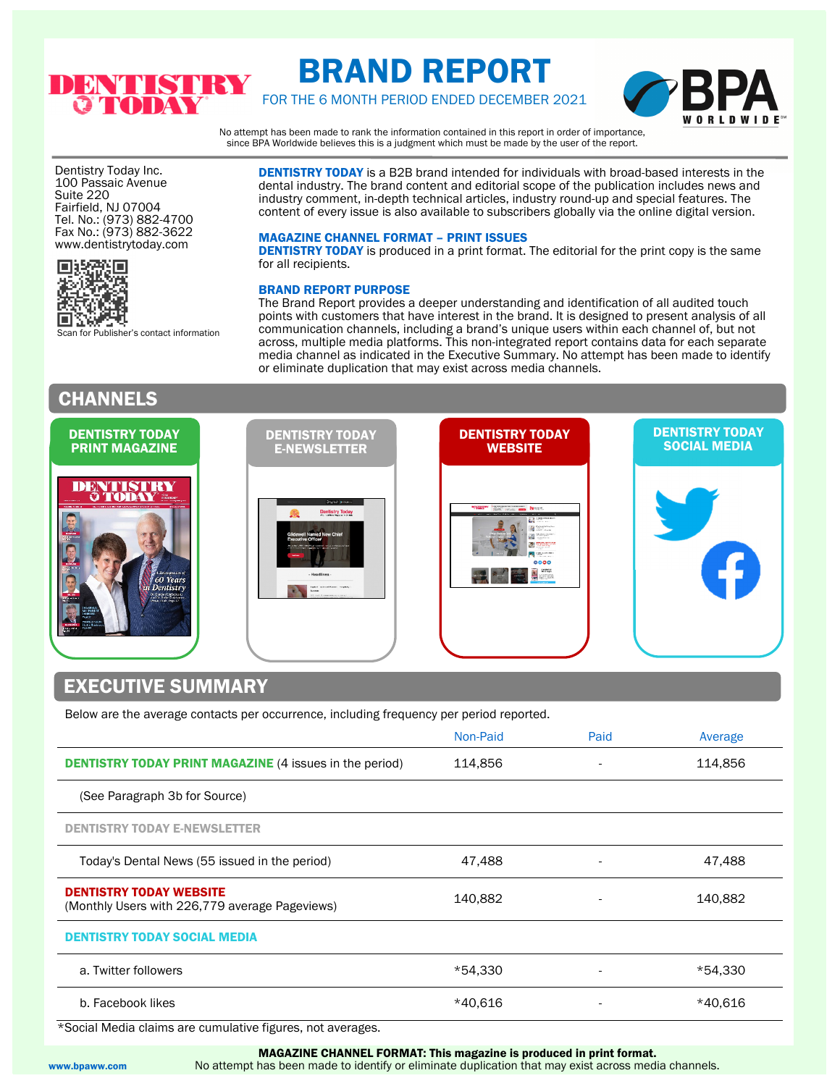

# BRAND REPORT

FOR THE 6 MONTH PERIOD ENDED DECEMBER 2021



No attempt has been made to rank the information contained in this report in order of importance, since BPA Worldwide believes this is a judgment which must be made by the user of the report.

Dentistry Today Inc. 100 Passaic Avenue Suite 220 Fairfield, NJ 07004 Tel. No.: (973) 882-4700 Fax No.: (973) 882-3622 www.dentistrytoday.com



Scan for Publisher's contact information

## CHANNELS

DENTISTRY TODAY is a B2B brand intended for individuals with broad-based interests in the dental industry. The brand content and editorial scope of the publication includes news and industry comment, in-depth technical articles, industry round-up and special features. The content of every issue is also available to subscribers globally via the online digital version.

#### MAGAZINE CHANNEL FORMAT – PRINT ISSUES

DENTISTRY TODAY is produced in a print format. The editorial for the print copy is the same for all recipients.

#### BRAND REPORT PURPOSE

The Brand Report provides a deeper understanding and identification of all audited touch points with customers that have interest in the brand. It is designed to present analysis of all communication channels, including a brand's unique users within each channel of, but not across, multiple media platforms. This non-integrated report contains data for each separate media channel as indicated in the Executive Summary. No attempt has been made to identify or eliminate duplication that may exist across media channels.



Below are the average contacts per occurrence, including frequency per period reported.

|                                                                                  | Non-Paid | Paid | Average |
|----------------------------------------------------------------------------------|----------|------|---------|
| <b>DENTISTRY TODAY PRINT MAGAZINE (4 issues in the period)</b>                   | 114,856  |      | 114,856 |
| (See Paragraph 3b for Source)                                                    |          |      |         |
| <b>DENTISTRY TODAY E-NEWSLETTER</b>                                              |          |      |         |
| Today's Dental News (55 issued in the period)                                    | 47,488   |      | 47,488  |
| <b>DENTISTRY TODAY WEBSITE</b><br>(Monthly Users with 226,779 average Pageviews) | 140.882  |      | 140,882 |
| <b>DENTISTRY TODAY SOCIAL MEDIA</b>                                              |          |      |         |
| a. Twitter followers                                                             | *54.330  |      | *54,330 |
| b. Facebook likes                                                                | *40.616  |      | *40,616 |

\*Social Media claims are cumulative figures, not averages.

MAGAZINE CHANNEL FORMAT: This magazine is produced in print format.

www.bpaww.com No attempt has been made to identify or eliminate duplication that may exist across media channels.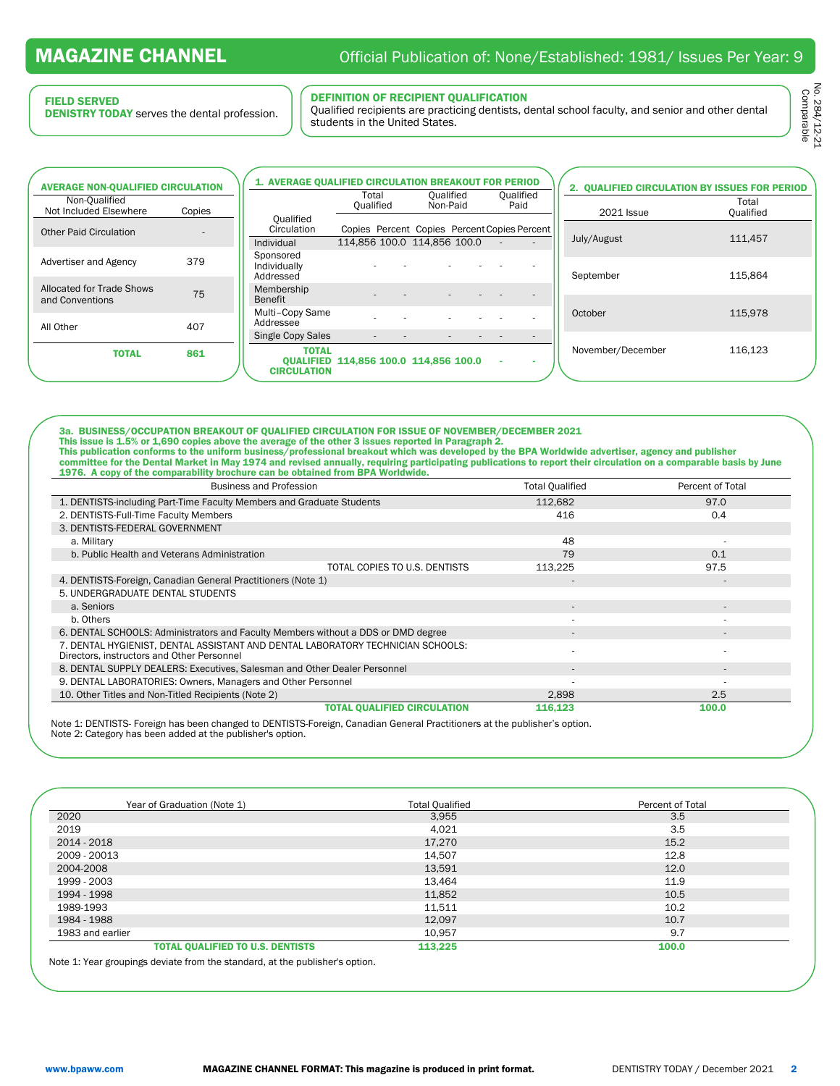#### FIELD SERVED

l

DENISTRY TODAY serves the dental profession.

#### DEFINITION OF RECIPIENT QUALIFICATION

Qualified recipients are practicing dentists, dental school faculty, and senior and other dental students in the United States.

No. 284/12-21<br>Comparable No. 284/12-21 Comparable

| <b>AVERAGE NON-QUALIFIED CIRCULATION</b>     |        | 1. AVERAGE QUALIFIED CIRCULATION BREAKOUT FOR PERIOD |                    |                                                                             |                   | 2. QUALIFIED CIRCULATION BY ISSUES FOR PERIOD |                    |
|----------------------------------------------|--------|------------------------------------------------------|--------------------|-----------------------------------------------------------------------------|-------------------|-----------------------------------------------|--------------------|
| Non-Qualified<br>Not Included Elsewhere      | Copies |                                                      | Total<br>Oualified | Qualified<br>Non-Paid                                                       | Qualified<br>Paid | <b>2021 Issue</b>                             | Total<br>Qualified |
| <b>Other Paid Circulation</b>                |        | Oualified<br>Circulation<br>Individual               |                    | Copies Percent Copies Percent Copies Percent<br>114.856 100.0 114.856 100.0 |                   | July/August                                   | 111.457            |
| Advertiser and Agency                        | 379    | Sponsored<br>Individually<br>Addressed               |                    |                                                                             |                   | September                                     | 115.864            |
| Allocated for Trade Shows<br>and Conventions | 75     | Membership<br>Benefit                                |                    |                                                                             |                   |                                               |                    |
| All Other                                    | 407    | Multi-Copy Same<br>Addressee                         |                    |                                                                             |                   | October                                       | 115.978            |
|                                              |        | <b>Single Copy Sales</b>                             |                    |                                                                             |                   |                                               |                    |
| <b>TOTAL</b>                                 | 861    | <b>TOTAL</b><br><b>CIRCULATION</b>                   |                    | <b>OUALIFIED 114.856 100.0 114.856 100.0</b>                                |                   | November/December                             | 116.123            |

3a. BUSINESS/OCCUPATION BREAKOUT OF QUALIFIED CIRCULATION FOR ISSUE OF NOVEMBER/DECEMBER 2021 This issue is 1.5% or 1,690 copies above the average of the other 3 issues reported in Paragraph 2. This publication conforms to the uniform business/professional breakout which was developed by the BPA Worldwide advertiser, agency and publisher committee for the Dental Market in May 1974 and revised annually, requiring participating publications to report their circulation on a comparable basis by June 1976. A copy of the comparability brochure can be obtained from BPA Worldwide.

| <b>Business and Profession</b>                                                                                                | <b>Total Qualified</b> | Percent of Total |
|-------------------------------------------------------------------------------------------------------------------------------|------------------------|------------------|
| 1. DENTISTS-including Part-Time Faculty Members and Graduate Students                                                         | 112,682                | 97.0             |
| 2. DENTISTS-Full-Time Faculty Members                                                                                         | 416                    | 0.4              |
| 3. DENTISTS-FEDERAL GOVERNMENT                                                                                                |                        |                  |
| a. Military                                                                                                                   | 48                     |                  |
| b. Public Health and Veterans Administration                                                                                  | 79                     | 0.1              |
| TOTAL COPIES TO U.S. DENTISTS                                                                                                 | 113,225                | 97.5             |
| 4. DENTISTS-Foreign, Canadian General Practitioners (Note 1)                                                                  |                        |                  |
| 5. UNDERGRADUATE DENTAL STUDENTS                                                                                              |                        |                  |
| a. Seniors                                                                                                                    |                        |                  |
| b. Others                                                                                                                     |                        |                  |
| 6. DENTAL SCHOOLS: Administrators and Faculty Members without a DDS or DMD degree                                             |                        |                  |
| 7. DENTAL HYGIENIST, DENTAL ASSISTANT AND DENTAL LABORATORY TECHNICIAN SCHOOLS:<br>Directors, instructors and Other Personnel |                        |                  |
| 8. DENTAL SUPPLY DEALERS: Executives, Salesman and Other Dealer Personnel                                                     |                        |                  |
| 9. DENTAL LABORATORIES: Owners, Managers and Other Personnel                                                                  |                        |                  |
| 10. Other Titles and Non-Titled Recipients (Note 2)                                                                           | 2,898                  | 2.5              |
| <b>TOTAL QUALIFIED CIRCULATION</b>                                                                                            | 116,123                | 100.0            |
|                                                                                                                               |                        |                  |

Note 1: DENTISTS- Foreign has been changed to DENTISTS-Foreign, Canadian General Practitioners at the publisher's option. Note 2: Category has been added at the publisher's option.

| Year of Graduation (Note 1)             | <b>Total Qualified</b> | Percent of Total |
|-----------------------------------------|------------------------|------------------|
| 2020                                    | 3,955                  | 3.5              |
| 2019                                    | 4,021                  | 3.5              |
| 2014 - 2018                             | 17,270                 | 15.2             |
| 2009 - 20013                            | 14,507                 | 12.8             |
| 2004-2008                               | 13,591                 | 12.0             |
| 1999 - 2003                             | 13,464                 | 11.9             |
| 1994 - 1998                             | 11,852                 | 10.5             |
| 1989-1993                               | 11,511                 | 10.2             |
| 1984 - 1988                             | 12,097                 | 10.7             |
| 1983 and earlier                        | 10,957                 | 9.7              |
| <b>TOTAL QUALIFIED TO U.S. DENTISTS</b> | 113,225                | 100.0            |

Note 1: Year groupings deviate from the standard, at the publisher's option.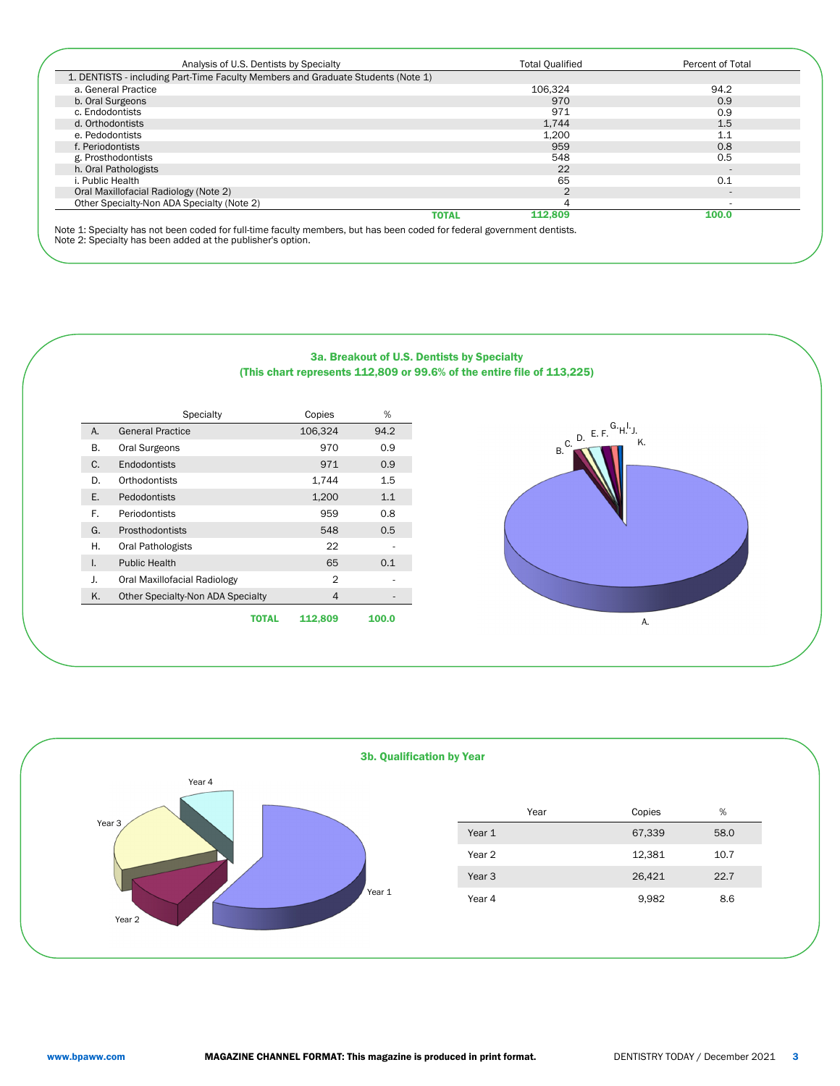| Analysis of U.S. Dentists by Specialty                                           | <b>Total Qualified</b> | Percent of Total |
|----------------------------------------------------------------------------------|------------------------|------------------|
| 1. DENTISTS - including Part-Time Faculty Members and Graduate Students (Note 1) |                        |                  |
| a. General Practice                                                              | 106.324                | 94.2             |
| b. Oral Surgeons                                                                 | 970                    | 0.9              |
| c. Endodontists                                                                  | 971                    | 0.9              |
| d. Orthodontists                                                                 | 1,744                  | 1.5              |
| e. Pedodontists                                                                  | 1,200                  | 1.1              |
| f. Periodontists                                                                 | 959                    | 0.8              |
| g. Prosthodontists                                                               | 548                    | 0.5              |
| h. Oral Pathologists                                                             | 22                     |                  |
| . Public Health                                                                  | 65                     | 0.1              |
| Oral Maxillofacial Radiology (Note 2)                                            | 2                      | $\overline{a}$   |
| Other Specialty-Non ADA Specialty (Note 2)                                       | 4                      |                  |
| <b>TOTAL</b>                                                                     | 112.809                | 100.0            |

Note 2: Specialty has been added at the publisher's option.

|    |                                   |              | (This chart represents 112,809 or 9 | ---------- |
|----|-----------------------------------|--------------|-------------------------------------|------------|
|    | <b>Specialty</b>                  |              | Copies                              | %          |
| А. | <b>General Practice</b>           |              | 106,324                             | 94.2       |
| В. | Oral Surgeons                     |              | 970                                 | 0.9        |
| C. | Endodontists                      |              | 971                                 | 0.9        |
| D. | Orthodontists                     |              | 1,744                               | 1.5        |
| Ε. | Pedodontists                      |              | 1,200                               | 1.1        |
| F. | Periodontists                     |              | 959                                 | 0.8        |
| G. | Prosthodontists                   |              | 548                                 | 0.5        |
| Η. | Oral Pathologists                 |              | 22                                  |            |
| I. | <b>Public Health</b>              |              | 65                                  | 0.1        |
| J. | Oral Maxillofacial Radiology      |              | 2                                   |            |
| K. | Other Specialty-Non ADA Specialty |              | 4                                   |            |
|    |                                   | <b>TOTAL</b> | 112.809                             | 100.0      |

### 3a. Breakout of U.S. Dentists by Specialty  $99.6\%$  of the entire file of 113,225)



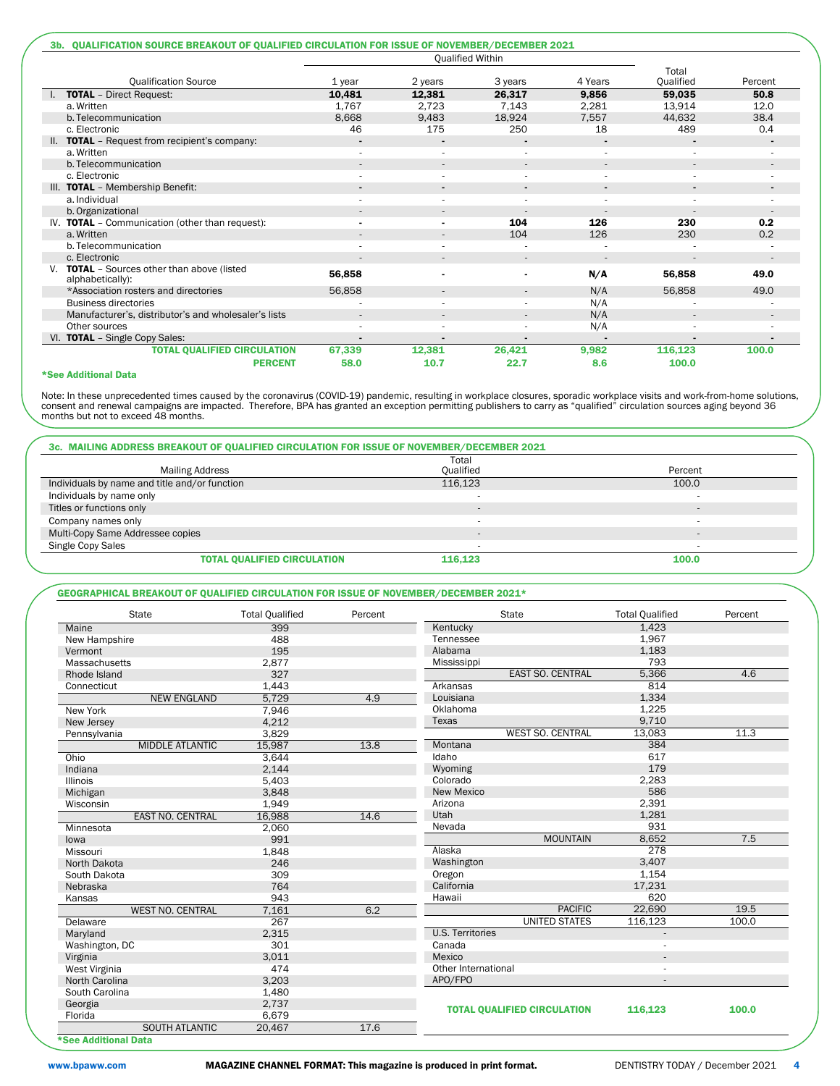|                                                                 |                |                          | <b>Oualified Within</b>  |                          |                    |                          |
|-----------------------------------------------------------------|----------------|--------------------------|--------------------------|--------------------------|--------------------|--------------------------|
| <b>Qualification Source</b>                                     | 1 year         | 2 years                  | 3 years                  | 4 Years                  | Total<br>Qualified | Percent                  |
| <b>TOTAL</b> - Direct Request:                                  | 10,481         | 12,381                   | 26,317                   | 9,856                    | 59,035             | 50.8                     |
| a. Written                                                      | 1,767          | 2,723                    | 7,143                    | 2,281                    | 13,914             | 12.0                     |
| b. Telecommunication                                            | 8,668          | 9,483                    | 18,924                   | 7,557                    | 44,632             | 38.4                     |
| c. Electronic                                                   | 46             | 175                      | 250                      | 18                       | 489                | 0.4                      |
| II. TOTAL - Request from recipient's company:                   |                |                          |                          | $\overline{a}$           |                    |                          |
| a. Written                                                      |                | ×                        | ×                        | ×                        | $\sim$             |                          |
| b. Telecommunication                                            |                | $\overline{\phantom{a}}$ | $\overline{\phantom{a}}$ | $\overline{\phantom{a}}$ |                    | $\overline{\phantom{a}}$ |
| c. Electronic                                                   |                |                          |                          |                          |                    |                          |
| III. TOTAL - Membership Benefit:                                | $\blacksquare$ | $\blacksquare$           | $\blacksquare$           | $\blacksquare$           | $\blacksquare$     | $\blacksquare$           |
| a. Individual                                                   |                |                          |                          |                          |                    |                          |
| b. Organizational                                               |                | $\overline{\phantom{a}}$ |                          |                          |                    | $\overline{\phantom{a}}$ |
| IV. TOTAL - Communication (other than request):                 |                |                          | 104                      | 126                      | 230                | 0.2                      |
| a. Written                                                      |                |                          | 104                      | 126                      | 230                | 0.2                      |
| b. Telecommunication                                            |                | $\overline{\phantom{a}}$ |                          |                          |                    |                          |
| c. Electronic                                                   |                |                          | $\overline{\phantom{a}}$ |                          |                    |                          |
| V. TOTAL - Sources other than above (listed<br>alphabetically): | 56,858         |                          |                          | N/A                      | 56,858             | 49.0                     |
| *Association rosters and directories                            | 56,858         | $\overline{\phantom{a}}$ | $\overline{\phantom{a}}$ | N/A                      | 56,858             | 49.0                     |
| <b>Business directories</b>                                     |                |                          |                          | N/A                      |                    |                          |
| Manufacturer's, distributor's and wholesaler's lists            |                |                          | $\overline{\phantom{a}}$ | N/A                      |                    | $\overline{\phantom{a}}$ |
| Other sources                                                   |                |                          |                          | N/A                      |                    |                          |
| VI. TOTAL - Single Copy Sales:                                  |                |                          |                          |                          |                    |                          |
| <b>TOTAL QUALIFIED CIRCULATION</b>                              | 67,339         | 12,381                   | 26,421                   | 9,982                    | 116,123            | 100.0                    |
| <b>PERCENT</b>                                                  | 58.0           | 10.7                     | 22.7                     | 8.6                      | 100.0              |                          |

#### \*See Additional Data

Note: In these unprecedented times caused by the coronavirus (COVID-19) pandemic, resulting in workplace closures, sporadic workplace visits and work-from-home solutions,<br>consent and renewal campaigns are impacted. Theref

|                                               | Total                    |         |
|-----------------------------------------------|--------------------------|---------|
| <b>Mailing Address</b>                        | Oualified                | Percent |
| Individuals by name and title and/or function | 116.123                  | 100.0   |
| Individuals by name only                      |                          |         |
| Titles or functions only                      |                          |         |
| Company names only                            |                          |         |
| Multi-Copy Same Addressee copies              | $\overline{\phantom{a}}$ |         |
| Single Copy Sales                             |                          |         |
| <b>TOTAL QUALIFIED CIRCULATION</b>            | 116.123                  | 100.0   |

#### GEOGRAPHICAL BREAKOUT OF QUALIFIED CIRCULATION FOR ISSUE OF NOVEMBER/DECEMBER 2021\*

| <b>State</b>            |                         | <b>Total Qualified</b> | Percent |                         | State                              | <b>Total Qualified</b> | Percent |
|-------------------------|-------------------------|------------------------|---------|-------------------------|------------------------------------|------------------------|---------|
| Maine                   |                         | 399                    |         | Kentucky                |                                    | 1,423                  |         |
| New Hampshire           |                         | 488                    |         | Tennessee               |                                    | 1,967                  |         |
| Vermont                 |                         | 195                    |         | Alabama                 |                                    | 1,183                  |         |
| Massachusetts           |                         | 2,877                  |         | Mississippi             |                                    | 793                    |         |
| Rhode Island            |                         | 327                    |         |                         | <b>EAST SO. CENTRAL</b>            | 5,366                  | 4.6     |
| Connecticut             |                         | 1,443                  |         | Arkansas                |                                    | 814                    |         |
|                         | <b>NEW ENGLAND</b>      | 5,729                  | 4.9     | Louisiana               |                                    | 1,334                  |         |
| New York                |                         | 7,946                  |         | Oklahoma                |                                    | 1,225                  |         |
| New Jersey              |                         | 4,212                  |         | Texas                   |                                    | 9,710                  |         |
| Pennsylvania            |                         | 3,829                  |         |                         | <b>WEST SO. CENTRAL</b>            | 13,083                 | 11.3    |
|                         | <b>MIDDLE ATLANTIC</b>  | 15,987                 | 13.8    | Montana                 |                                    | 384                    |         |
| Ohio                    |                         | 3,644                  |         | Idaho                   |                                    | 617                    |         |
| Indiana                 |                         | 2,144                  |         | Wyoming                 |                                    | 179                    |         |
| <b>Illinois</b>         |                         | 5,403                  |         | Colorado                |                                    | 2,283                  |         |
| Michigan                |                         | 3,848                  |         | New Mexico              |                                    | 586                    |         |
| Wisconsin               |                         | 1,949                  |         | Arizona                 |                                    | 2,391                  |         |
|                         | <b>EAST NO. CENTRAL</b> | 16,988                 | 14.6    | Utah                    |                                    | 1.281                  |         |
| Minnesota               |                         | 2,060                  |         | Nevada                  |                                    | 931                    |         |
| lowa                    |                         | 991                    |         |                         | <b>MOUNTAIN</b>                    | 8,652                  | 7.5     |
| Missouri                |                         | 1,848                  |         | Alaska                  |                                    | 278                    |         |
| North Dakota            |                         | 246                    |         | Washington              |                                    | 3,407                  |         |
| South Dakota            |                         | 309                    |         | Oregon                  |                                    | 1,154                  |         |
| Nebraska                |                         | 764                    |         | California              |                                    | 17,231                 |         |
| Kansas                  |                         | 943                    |         | Hawaii                  |                                    | 620                    |         |
| <b>WEST NO. CENTRAL</b> |                         | 7,161                  | 6.2     |                         | <b>PACIFIC</b>                     | 22,690                 | 19.5    |
| Delaware                |                         | 267                    |         |                         | <b>UNITED STATES</b>               | 116,123                | 100.0   |
| Maryland                |                         | 2,315                  |         | <b>U.S. Territories</b> |                                    |                        |         |
| Washington, DC          |                         | 301                    |         | Canada                  |                                    |                        |         |
| Virginia                |                         | 3,011                  |         | Mexico                  |                                    |                        |         |
| West Virginia           |                         | 474                    |         | Other International     |                                    |                        |         |
| North Carolina          |                         | 3,203                  |         | APO/FPO                 |                                    |                        |         |
| South Carolina          |                         | 1,480                  |         |                         |                                    |                        |         |
| Georgia                 |                         | 2,737                  |         |                         |                                    |                        |         |
| Florida                 |                         | 6,679                  |         |                         | <b>TOTAL OUALIFIED CIRCULATION</b> | 116.123                | 100.0   |
|                         | <b>SOUTH ATLANTIC</b>   | 20,467                 | 17.6    |                         |                                    |                        |         |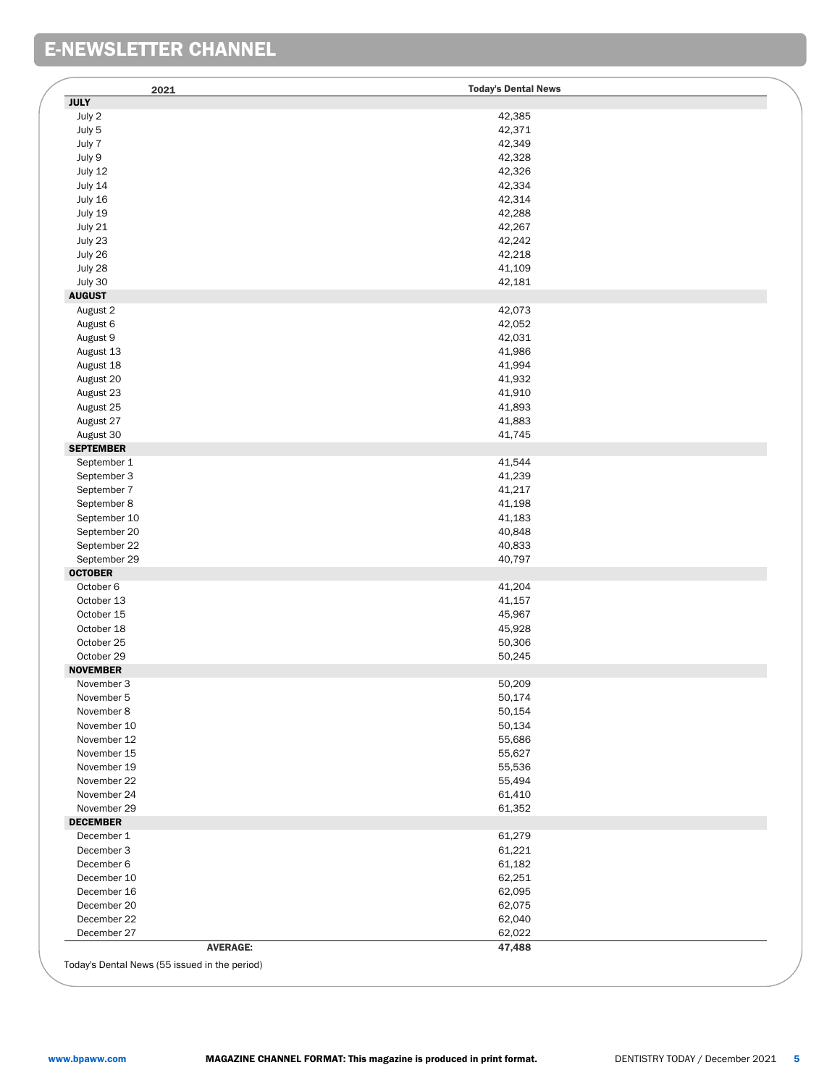## E-NEWSLETTER CHANNEL

| 2021                           | <b>Today's Dental News</b> |
|--------------------------------|----------------------------|
| <b>JULY</b>                    |                            |
| July 2                         | 42,385                     |
| July 5                         | 42,371                     |
| July 7                         | 42,349                     |
| July 9                         | 42,328                     |
| July 12                        | 42,326                     |
| July 14                        | 42,334                     |
| July 16                        | 42,314                     |
| July 19                        | 42,288                     |
| July 21                        | 42,267                     |
| July 23                        | 42,242                     |
| July 26                        | 42,218                     |
| July 28                        | 41,109                     |
| July 30                        | 42,181                     |
| <b>AUGUST</b>                  |                            |
| August 2                       | 42,073                     |
| August 6                       | 42,052                     |
| August 9                       | 42,031                     |
| August 13                      | 41,986                     |
| August 18                      | 41,994                     |
| August 20                      | 41,932                     |
|                                |                            |
| August 23                      | 41,910                     |
| August 25                      | 41,893                     |
| August 27                      | 41,883                     |
| August 30                      | 41,745                     |
| <b>SEPTEMBER</b>               |                            |
| September 1                    | 41,544                     |
| September 3                    | 41,239                     |
| September 7                    | 41,217                     |
| September 8                    | 41,198                     |
| September 10                   | 41,183                     |
| September 20                   | 40,848                     |
| September 22                   | 40,833                     |
| September 29                   | 40,797                     |
| <b>OCTOBER</b>                 |                            |
| October 6                      | 41,204                     |
| October 13                     | 41,157                     |
| October 15                     | 45,967                     |
| October 18                     | 45,928                     |
| October 25                     | 50,306                     |
| October 29                     | 50,245                     |
| <b>NOVEMBER</b>                |                            |
| November 3                     | 50,209                     |
| November 5                     | 50,174                     |
| November 8                     | 50,154                     |
| November 10                    | 50,134                     |
|                                |                            |
| November 12                    | 55,686                     |
| November 15                    | 55,627                     |
| November 19                    | 55,536                     |
| November 22                    | 55,494                     |
| November 24                    | 61,410                     |
| November 29                    | 61,352                     |
| <b>DECEMBER</b>                |                            |
| December 1                     | 61,279                     |
| December 3                     | 61,221                     |
| December 6                     | 61,182                     |
| December 10                    | 62,251                     |
| December 16                    | 62,095                     |
| December 20                    | 62,075                     |
|                                |                            |
|                                |                            |
| December 22                    | 62,040                     |
| December 27<br><b>AVERAGE:</b> | 62,022<br>47,488           |